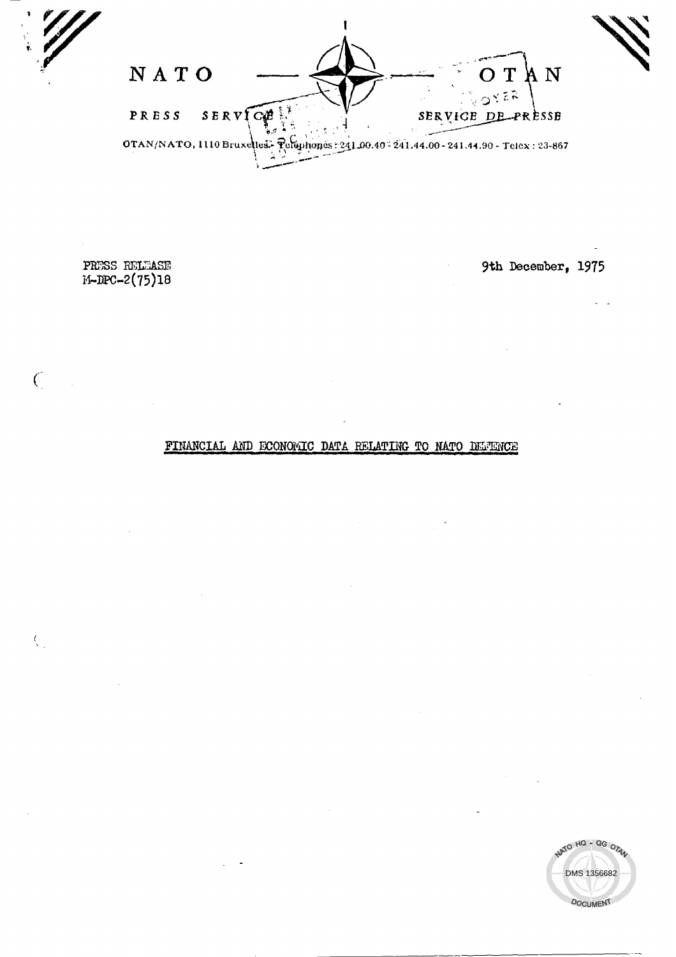NATO  $\overline{M}$ SERVICE PRESS SERVICE DE PRÈSSE ष्<br>व OTAN/NATO, 1110 Bruxelles- Pelaphones: 241.00.40 - 241.44.00 - 241.44.90 - Telex: 23-867

PRESS RELEASE M-DPC-2(75)18

 $\overline{C}$ 

 $\langle$ 

9th December, 1975

FINANCIAL AND ECONOMIC DATA RELATING TO NATO DEFENCE

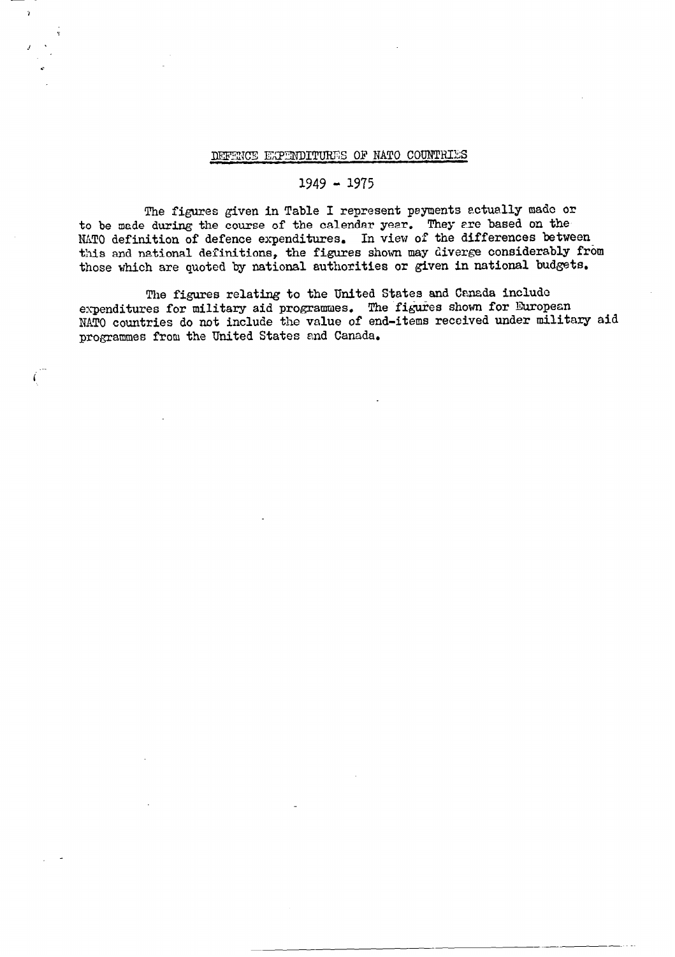## DEFENCE EXPENDITURES OF NATO COUNTRIES

#### 1949 - 1975

The figures given in Table I represent payments actually made or to be made during the course of the calendar year. They are based on the MATO definition of defence expenditures. In view of the differences between this and national definitions, the figures shown may diverge considerably from those which are quoted by national authorities or given in national budgets.

The figures relating to the United States and Canada include expenditures for military aid programmes. The figures shown for European NATO countries do not include the value of end-items received under military aid programmes from the United States and Canada.

í.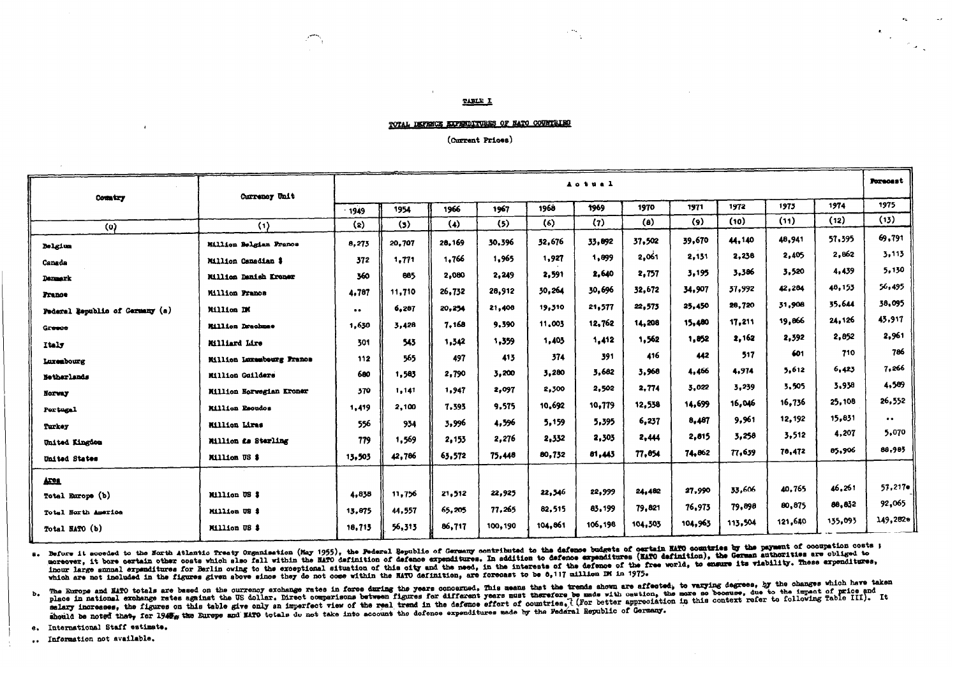#### TABLE I

 $\mathbf{r}_{\perp}$ 

(Current Prices)

| Country                         | Currency Unit                   |           |        |        | Actual  |         |                                      |                    |         |         |         | Porecest |                     |
|---------------------------------|---------------------------------|-----------|--------|--------|---------|---------|--------------------------------------|--------------------|---------|---------|---------|----------|---------------------|
|                                 |                                 | $-1949$   | 1954   | 1966   | 1967    | 1968    | 1975<br>1972<br>1971<br>1969<br>1970 |                    |         |         |         |          | 1975                |
| $\circ$                         | (1)                             | (2)       | (3)    | (4)    | (5)     | (6)     | (7)                                  | $\left( 0 \right)$ | (9)     | (10)    | (11)    | (12)     | (13)                |
| <b>Belgium</b>                  | <b>Million Belgian Francs</b>   | 8,273     | 20,707 | 28,169 | 30,396  | 32,676  | 33.892                               | 37.502             | 39,670  | 44,140  | 48,941  | 57,395   | 69,791              |
| Canada                          | Million Canadian \$             | 372       | 1,771  | 1,766  | 1,965   | 1,927   | 1,899                                | 2,061              | 2,131   | 2,238   | 2.405   | 2,862    | 3,113               |
| <b>Demask</b>                   | Millica Danish Kroner           | 360       | 885    | 2,080  | 2,249   | 2,591   | 2,640                                | 2,757              | 3,195   | 3.386   | 3,520   | 4,439    | 5,130               |
| <b>Pranoe</b>                   | <b>Million Prance</b>           | 4,787     | 11,710 | 26,732 | 28,912  | 30,264  | 30,696                               | 32,672             | 34,907  | 37,992  | 42,284  | 48,153   | 56,495              |
| Federal Republic of Germany (a) | Million DM                      | $\bullet$ | 6,287  | 20,254 | 21,408  | 19,310  | 21,577                               | 22,573             | 25,450  | 28,720  | 31,908  | 35,644   | 38,095              |
| Greece                          | <b>Million Drachmae</b>         | 1.630     | 3,428  | 7.168  | 9,390   | 11,003  | 12.762                               | 14,208             | 15,480  | 17,211  | 19,866  | 24,126   | 43.917              |
| Italy                           | Milliard Lire                   | 301       | 543    | 1,342  | 1,359   | 1,403   | 1,412                                | 1,562              | 1,852   | 2,162   | 2,392   | 2,852    | 2,961               |
| Luxeabourg                      | Million Luxembourg France       | 112       | 565    | 497    | 413     | 374     | 391                                  | 416                | 442     | 517     | 601     | 710      | 786                 |
| Netherlands                     | Million Guilders                | 600       | 1,583  | 2,790  | 3,200   | 3,280   | 3.682                                | 3,968              | 4,466   | 4.974   | 5,612   | 6,423    | 7,266               |
| Norway                          | <b>Million Norwegian Kroner</b> | 370       | 1,141  | 1,947  | 2,097   | 2,300   | 2,502                                | 2,774              | 3,022   | 5,239   | 3,505   | 3,938    | 4,509               |
| Portugal                        | <b>Million Escudos</b>          | 1,419     | 2,100  | 7,393  | 9,575   | 10,692  | 10,779                               | 12,538             | 14,699  | 16,046  | 16.736  | 25,108   | 26,552              |
| Turkey                          | Million Lires                   | 556       | 934    | 3,996  | 4,596   | 5,159   | 5,395                                | 6,237              | 8,487   | 9,961   | 12,192  | 15.831   | $\bullet$ $\bullet$ |
| United Kingdom                  | Million <i>La</i> Sterling      | 779       | 1,569  | 2,153  | 2,276   | 2,332   | 2,303                                | 2,444              | 2,815   | 3,258   | 3,512   | 4,207    | 5,070               |
| United States                   | Million US \$                   | 13,503    | 42,786 | 63,572 | 75,448  | 80,732  | 81,443                               | 77,854             | 74.862  | 77,639  | 78,472  | 85,906   | 88,983              |
|                                 |                                 |           |        |        |         |         |                                      |                    |         |         |         |          |                     |
| <b>Area</b>                     |                                 |           |        |        |         | 22,346  | 22,999                               | 24,482             | 27,990  | 33,606  | 40.765  | 46,261   | 57,217              |
| Total Europe (b)                | Million US \$                   | 4,838     | 11,756 | 21,512 | 22,925  |         | 83,199                               | 79,821             | 76.973  | 79,898  | 80,875  | 88,832   | 92,065              |
| Total North America             | Million US \$                   | 13,875    | 44,557 | 65,205 | 77.265  | 82,515  |                                      |                    | 104,965 | 113,504 | 121,640 | 135,093  | 149,2820            |
| Total NATO (b)                  | Million US \$                   | 18,713    | 56,313 | 86,717 | 100,190 | 104,861 | 106,198                              | 104,505            |         |         |         |          |                     |

a. Before it acceded to the North Atlantic Treaty Organisation (May 1955), the Federal Republic of Germany contributed to the defence budgets of certain MATO countries by the payment of cocupation costs ; moreover, it bore certain other costs which she of all within the MATO definition of defence expenditures. In addition to defence expenditures (MATO definition), the German authorities are obliged to inour large smmal errorisment for Berlin owing to the exceptional situation of this oity and the need, in the interests of the defence of the free world, to ensure its viability. These erroristicse, which are not included in the figures given above since they do not come within the NATO definition, are forecast to be 8,117 million DM in 1975.

b. The Europe and NATO totals are based on the ourrency exchange rates in force during the years concerned. This means that the trends shown are affected, to varying degrees, by the changes which have taken<br>and in national salary increases, the figures on this table give only an imperfect view of the real trend in the defence effort of countries, ( For better appreciation in this context refer to following Table III). It should be noted that, for 1945, the Europe and HATO totals do not take into account the defence expenditures uade by the Federal Republic of Germany.

e. International Staff estimate.

.. Information not available.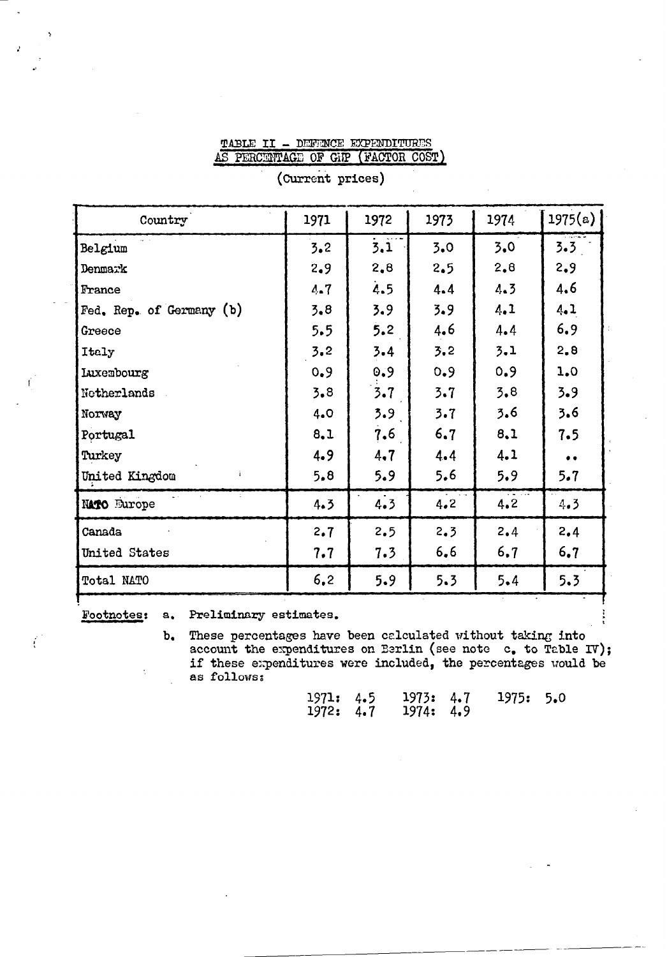#### TABLE II - DEFENCE EXPENDITURES AS PERCENTAGE OF GIF (FACTOR COST)

| Country                  | 1971 | 1972    | 1973 | 1974 | 1975(a)   |
|--------------------------|------|---------|------|------|-----------|
| Belgium                  | 3.2  | 3.1     | 3.0  | 3.0  | 3.3       |
| Denmark                  | 2.9  | 2,8     | 2.5  | 2.8  | 2.9       |
| France                   | 4.7  | 4.5     | 4.4  | 4.3  | 4.6       |
| Fed. Rep. of Germany (b) | 3.8  | 3.9     | 3.9  | 4.1  | 4.1       |
| Greece                   | 5.5  | 5.2     | 4.6  | 4.4  | 6.9       |
| Italy                    | 3.2  | $3 - 4$ | 3.2  | 3.1  | 2.8       |
| <b>Luxembourg</b>        | 0.9  | 0.9     | 0.9  | 0.9  | 1.0       |
| Netherlands              | 3.8  | 3.7     | 3.7  | 3.8  | 3.9       |
| Norway                   | 4.0  | 3.9     | 3.7  | 3.6  | 3.6       |
| Portugal                 | 8.1  | 7.6     | 6.7  | 8.1  | 7.5       |
| Turkey                   | 4.9  | 4.7     | 4.4  | 4.1  | $\bullet$ |
| United Kingdom           | 5.8  | 5.9     | 5.6  | 5.9  | 5.7       |
| <b>NATO</b> Europe       | 4.3  | 4.3     | 4.2  | 4.2  | 4.3       |
| Canada                   | 2.7  | 2.5     | 2.3  | 2.4  | 2,4       |
| United States            | 7.7  | 7.3     | 6, 6 | 6.7  | 6.7       |
| Total NATO               | 6.2  | 5.9     | 5.3  | 5.4  | 5.3       |
|                          |      |         |      |      |           |

(Current prices)

Footnotes:

 $a_{\bullet}$ 

Preliminary estimates.

These percentages have been calculated without taking into  $\mathbf{b}_{\bullet}$ account the expenditures on Berlin (see note  $c_{\bullet}$  to Table IV); if these expenditures were included, the percentages would be as follows:

| 1971: 4.5 | 1973: 4.7 | 1975: 5.0 |  |
|-----------|-----------|-----------|--|
| 1972: 4.7 | 1974: 4.9 |           |  |

Ť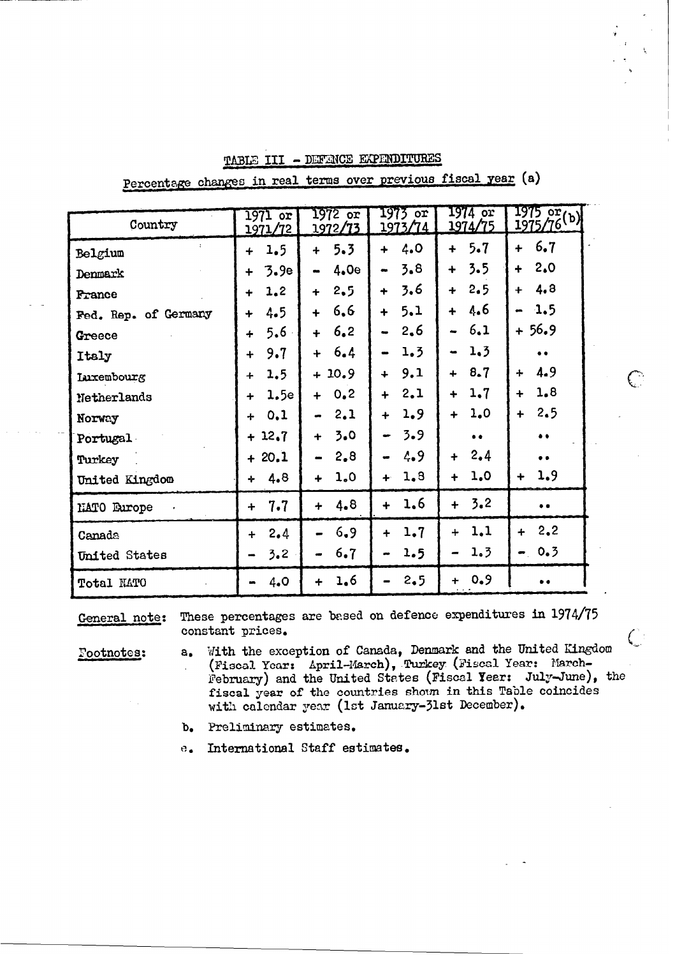| Country                         | 1971 or<br>1971/72 | <b>1972 or</b><br>1972/73   | 1973 or<br>1973/74          | 1974 or<br>1974/75          | $\frac{1975 \text{ or } }{1975/76}$ |
|---------------------------------|--------------------|-----------------------------|-----------------------------|-----------------------------|-------------------------------------|
| $\ddot{\phantom{a}}$<br>Belgium | 1.5<br>$\div$      | 5.3<br>$\div$               | 4.0<br>$\ddot{}$            | 5.7<br>∔                    | 6.7<br>╇                            |
| Denmark                         | 3.9e               | 4.0e                        | 3.8                         | 3.5<br>$\ddot{\phantom{1}}$ | 2.0<br>÷                            |
| France                          | 1,2<br>$\div$      | 2,5<br>$\ddot{\phantom{1}}$ | 3.6<br>$\ddotmark$          | 2.5<br>$\ddot{}$            | 4.8<br>$\ddotmark$                  |
| Fed. Rep. of Germany            | 4.5<br>┿           | 6, 6<br>$\div$              | 5.1<br>$\ddot{}$            | 4.6<br>4                    | 1.5                                 |
| Greece                          | $5.6 -$<br>$\div$  | 6, 2<br>$\ddot{}$           | 2,6                         | 6.1                         | $+56.9$                             |
| Italy                           | 9.7<br>$\ddot{}$   | 6.4<br>$\ddot{}$            | 1.3                         | 1.3                         | $\bullet$                           |
| Luxembourg                      | 1.5<br>$\div$      | $+10.9$                     | 9.1<br>$\ddot{\bullet}$     | 8.7<br>$\ddot{}$            | 4.9<br>$\div$                       |
| Netherlands                     | 1.5e<br>$\div$     | 0.2<br>$\ddotmark$          | 2.1<br>$\ddotmark$          | 1,7<br>$\ddotmark$          | 1.8<br>$\ddot{}$                    |
| Norway                          | 0.1<br>÷           | 2,1                         | 1.9<br>╇                    | 1.0<br>$\ddot{}$            | 2.5<br>┿                            |
| Portugal                        | $+12.7$            | 3.0<br>┿                    | 3.9                         | $\bullet$                   | $\bullet$                           |
| Turkey                          | $+20.1$            | 2,8                         | 4.9                         | 2.4<br>$\ddotmark$          | $\bullet$                           |
| United Kingdom                  | 4.8<br>÷           | 1.0<br>┿                    | 1.8<br>╇                    | 1,0<br>$\ddot{}$            | 1,9<br>$\ddot{}$                    |
| MATO Europe                     | 7.7<br>$\div$      | 4.8<br>$\div$               | 1.6<br>$\ddot{\phantom{1}}$ | 3.2<br>$\ddotmark$          | $\bullet$ $\bullet$                 |
| Canada                          | 2.4<br>$\ddot{}$   | 6.9                         | 1.7<br>$\ddot{}$            | 1,1<br>4                    | 2,2<br>$\div$                       |
| United States                   | 3.2                | 6.7                         | 1.5                         | 1.3                         | $-0.3$                              |
| Total MATO                      | 4.0                | 1.6<br>$\div$               | 2.5                         | 0.9<br>$\ddotmark$          | . .                                 |

TABLE III - DEFENCE EXPENDITURES

Percentage changes in real terms over previous fiscal year (a)

These percentages are based on defence expenditures in 1974/75 General note: constant prices.

Footnotes:

- With the exception of Canada, Denmark and the United Kingdom (Fiscal Year: April-March), Turkey (Fiscal Year: March $a_{\bullet}$ February) and the United States (Fiscal Year: July-June), the fiscal year of the countries shown in this Table coincides with calendar year (1st January-31st December).
- b. Preliminary estimates.
- International Staff estimates.  $e_{\bullet}$

 $\bigcup$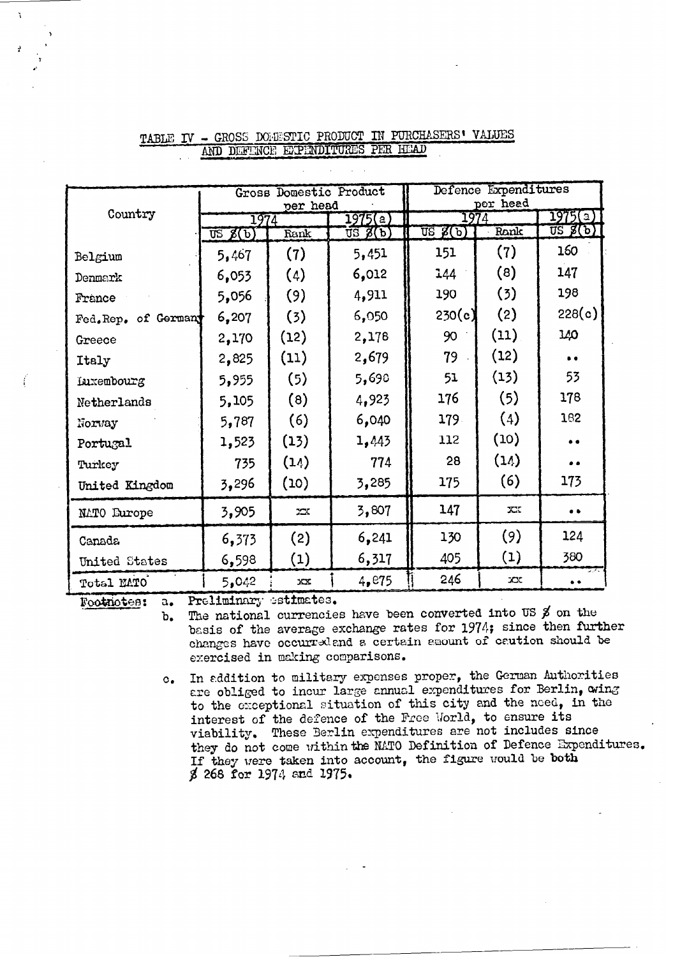|                      |                         | Gross Domestic Product |                | Defence Expenditures<br>per head              |      |                                  |  |
|----------------------|-------------------------|------------------------|----------------|-----------------------------------------------|------|----------------------------------|--|
| Country              | 1974                    | per head               | 1975(a)        | 1974                                          |      | 1975(a)                          |  |
|                      | $\overline{u}$ s $g(b)$ | Rank                   | $US \not B(b)$ | $\overline{\text{US }} \mathcal{B}(\text{b})$ | Rank | $\overline{US}$ $\mathscr{G}(b)$ |  |
| Belgium              | 5,467                   | (7)                    | 5,451          | 151                                           | (7)  | 160                              |  |
| Denmark              | 6,053                   | (4)                    | 6,012          | 144                                           | (8)  | 147                              |  |
| France               | 5,056                   | (9)                    | 4,911          | 190                                           | (3)  | 198                              |  |
| Fed. Rep. of Germany | 6,207                   | (3)                    | 6,050          | 230(c)                                        | (2)  | 228(c)                           |  |
| Greece               | 2,170                   | (12)                   | 2,178          | 90                                            | (11) | 140                              |  |
| Italy                | 2,825                   | (11)                   | 2,679          | 79                                            | (12) | . .                              |  |
| Iuxembourg           | 5,955                   | (5)                    | 5,698          | 51                                            | (13) | 53                               |  |
| Netherlands          | 5,105                   | (8)                    | 4,923          | 176                                           | (5)  | 178                              |  |
| Norway               | 5,787                   | (6)                    | 6,040          | 179.                                          | (4)  | 182                              |  |
| Portugal             | 1,523                   | (13)                   | 1,443          | 112                                           | (10) |                                  |  |
| Turkey               | 735                     | (14)                   | 774            | 28                                            | (14) |                                  |  |
| United Kingdom       | 3,296                   | (10)                   | 3,285          | 175                                           | (6)  | 173                              |  |
| <b>NATO Europe</b>   | 3,905                   | 22 <sub>x</sub>        | 3,807          | 147                                           | XX   | . .                              |  |
| Canada               | 6,373                   | (2)                    | 6,241          | 130                                           | (9)  | 124                              |  |
| United States        | 6,598                   | (1)                    | 6,317          | 405                                           | (1)  | 380                              |  |
| Total MATO           | 5,042                   | $\mathbf{x}$           | 4, 875         | 246                                           | xx   |                                  |  |

### TABLE IV - GROSS DOMESTIC PRODUCT IN PURCHASERS' VALUES AND DEFENCE EXPENDITURES PER HEAD

Preliminary estimates. Footnotes:  $a_{\bullet}$ 

Ň

The national currencies have been converted into US  $\beta$  on the  $b_{\bullet}$ basis of the average exchange rates for 1974; since then further changes have occurred and a certain amount of caution should be exercised in making comparisons.

c. In addition to military expenses proper, the German Authorities are obliged to incur large annual expenditures for Berlin, wing to the exceptional situation of this city and the need, in the interest of the defence of the Free World, to ensure its viability. These Berlin expenditures are not includes since they do not come within the NATO Definition of Defence Expenditures. If they were taken into account, the figure would be both \$ 268 for 1974 and 1975.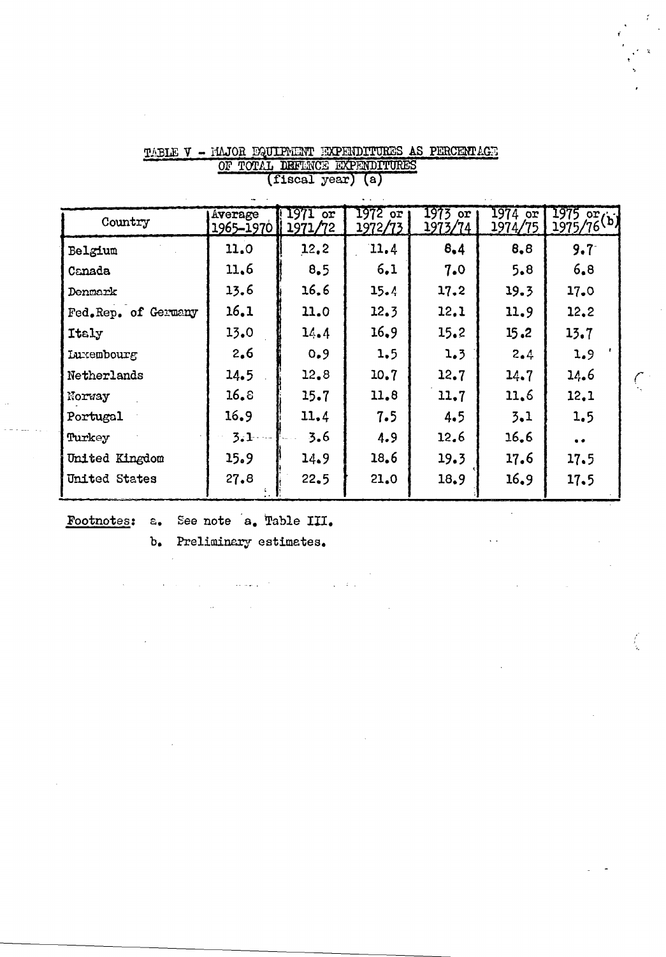| Country             | Average<br>1965-1970 | 1971<br>or<br>1971/72 | 1972 or<br>1972/73 | 1973 or<br>1973/74 | $1974$ or<br>1974/75 | 1975 or<br>1975/76(b) |
|---------------------|----------------------|-----------------------|--------------------|--------------------|----------------------|-----------------------|
| Belgium             | 11.0                 | 12.2                  | 11.4               | 8,4                | 8,8                  | $9.7 -$               |
| Canada              | 11.6                 | 8.5                   | 6,1                | 7.0                | 5.8                  | 6,8                   |
| Denmark             | 13.6                 | 16.6                  | 15.4               | 17.2               | 19.3                 | 17.0                  |
| Fed.Rep. of Germany | 16.1                 | 11.0                  | 12.3               | 12.1               | 11.9                 | 12.2                  |
| Italy               | 13.0                 | 14.4                  | 16,9               | 15.2               | 15.2                 | 13.7                  |
| <b>Luxembourg</b>   | 2,6                  | 0.9                   | 1.5                | 1.3                | 2.4                  | 1.9                   |
| Netherlands         | 14.5                 | 12.8                  | 10.7               | 12.7               | 14.7                 | 14.6                  |
| Norway              | 16.8                 | 15.7                  | 11.8               | 11.7               | 11.6                 | 12.1                  |
| Portugal            | 16.9                 | 11.4                  | 7.5                | 4.5                | 3.1                  | 1.5                   |
| Turkey              | 3.1                  | 3.6                   | 4.9                | 12.6               | 16, 6                | $\bullet$             |
| United Kingdom      | 15.9                 | 14.9                  | 18.6               | 19.3               | 17.6                 | 17.5                  |
| United States       | 27.8                 | 22.5                  | 21.0               | 18.9               | 16.9                 | 17.5                  |
|                     |                      |                       |                    |                    |                      |                       |

 $\mathcal{L}_{\rm{max}}$  and

### TABLE V - MAJOR EQUIPMENT EXPENDITURES AS PERCENTAGE TOTAL DEFINCE EXPENDITURES (fiscal year) (a)  $\overline{or}$

Footnotes: a. See note a. Table III.

Preliminary estimates.  $b_{\bullet}$ 

والتوبا بالأ

 $\ddot{\phantom{a}}$